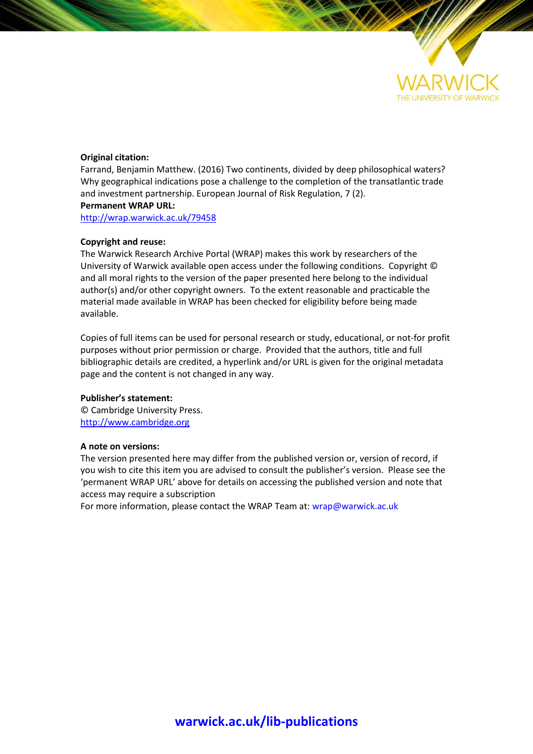

### **Original citation:**

Farrand, Benjamin Matthew. (2016) Two continents, divided by deep philosophical waters? Why geographical indications pose a challenge to the completion of the transatlantic trade and investment partnership. European Journal of Risk Regulation, 7 (2). **Permanent WRAP URL:**

<http://wrap.warwick.ac.uk/79458>

### **Copyright and reuse:**

The Warwick Research Archive Portal (WRAP) makes this work by researchers of the University of Warwick available open access under the following conditions. Copyright © and all moral rights to the version of the paper presented here belong to the individual author(s) and/or other copyright owners. To the extent reasonable and practicable the material made available in WRAP has been checked for eligibility before being made available.

Copies of full items can be used for personal research or study, educational, or not-for profit purposes without prior permission or charge. Provided that the authors, title and full bibliographic details are credited, a hyperlink and/or URL is given for the original metadata page and the content is not changed in any way.

#### **Publisher's statement:**

© Cambridge University Press. [http://www.cambridge.org](http://www.cambridge.org/)

### **A note on versions:**

The version presented here may differ from the published version or, version of record, if you wish to cite this item you are advised to consult the publisher's version. Please see the 'permanent WRAP URL' above for details on accessing the published version and note that access may require a subscription

For more information, please contact the WRAP Team at[: wrap@warwick.ac.uk](mailto:wrap@warwick.ac.uk)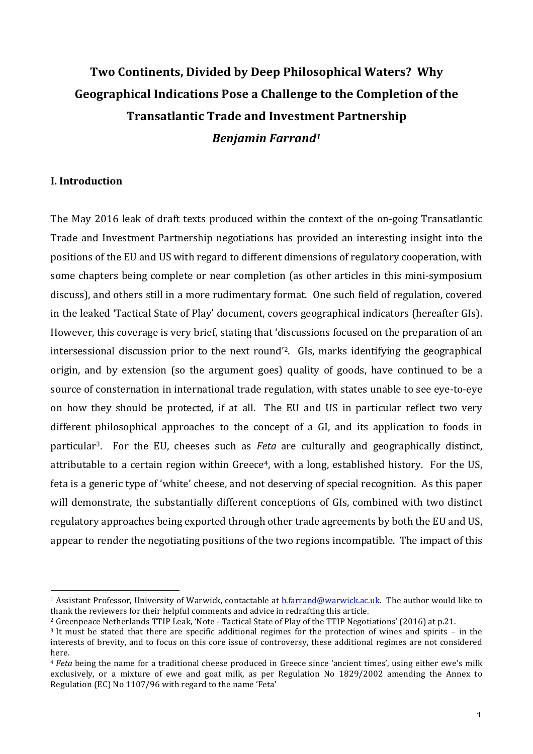# Two Continents, Divided by Deep Philosophical Waters? Why Geographical Indications Pose a Challenge to the Completion of the **Transatlantic Trade and Investment Partnership** *Benjamin Farrand1*

# **I. Introduction**

 

The May 2016 leak of draft texts produced within the context of the on-going Transatlantic Trade and Investment Partnership negotiations has provided an interesting insight into the positions of the EU and US with regard to different dimensions of regulatory cooperation, with some chapters being complete or near completion (as other articles in this mini-symposium discuss), and others still in a more rudimentary format. One such field of regulation, covered in the leaked 'Tactical State of Play' document, covers geographical indicators (hereafter GIs). However, this coverage is very brief, stating that 'discussions focused on the preparation of an intersessional discussion prior to the next round<sup>'2</sup>. GIs, marks identifying the geographical origin, and by extension (so the argument goes) quality of goods, have continued to be a source of consternation in international trade regulation, with states unable to see eye-to-eye on how they should be protected, if at all. The EU and US in particular reflect two very different philosophical approaches to the concept of a GI, and its application to foods in particular<sup>3</sup>. For the EU, cheeses such as *Feta* are culturally and geographically distinct, attributable to a certain region within Greece<sup>4</sup>, with a long, established history. For the US, feta is a generic type of 'white' cheese, and not deserving of special recognition. As this paper will demonstrate, the substantially different conceptions of GIs, combined with two distinct regulatory approaches being exported through other trade agreements by both the EU and US, appear to render the negotiating positions of the two regions incompatible. The impact of this

<sup>&</sup>lt;sup>1</sup> Assistant Professor, University of Warwick, contactable at b.farrand@warwick.ac.uk. The author would like to thank the reviewers for their helpful comments and advice in redrafting this article.

<sup>&</sup>lt;sup>2</sup> Greenpeace Netherlands TTIP Leak, 'Note - Tactical State of Play of the TTIP Negotiations' (2016) at p.21.

 $3$  It must be stated that there are specific additional regimes for the protection of wines and spirits  $-$  in the interests of brevity, and to focus on this core issue of controversy, these additional regimes are not considered here.

<sup>&</sup>lt;sup>4</sup> *Feta* being the name for a traditional cheese produced in Greece since 'ancient times', using either ewe's milk exclusively, or a mixture of ewe and goat milk, as per Regulation No 1829/2002 amending the Annex to Regulation (EC) No 1107/96 with regard to the name 'Feta'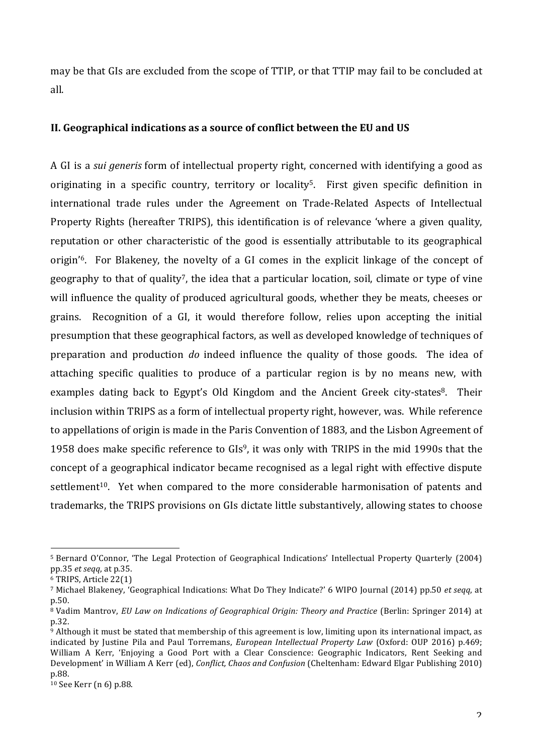may be that GIs are excluded from the scope of TTIP, or that TTIP may fail to be concluded at all.

# II. Geographical indications as a source of conflict between the EU and US

A GI is a *sui generis* form of intellectual property right, concerned with identifying a good as originating in a specific country, territory or locality<sup>5</sup>. First given specific definition in international trade rules under the Agreement on Trade-Related Aspects of Intellectual Property Rights (hereafter TRIPS), this identification is of relevance 'where a given quality, reputation or other characteristic of the good is essentially attributable to its geographical origin'<sup>6</sup>. For Blakeney, the novelty of a GI comes in the explicit linkage of the concept of geography to that of quality<sup>7</sup>, the idea that a particular location, soil, climate or type of vine will influence the quality of produced agricultural goods, whether they be meats, cheeses or grains. Recognition of a GI, it would therefore follow, relies upon accepting the initial presumption that these geographical factors, as well as developed knowledge of techniques of preparation and production *do* indeed influence the quality of those goods. The idea of attaching specific qualities to produce of a particular region is by no means new, with examples dating back to Egypt's Old Kingdom and the Ancient Greek city-states<sup>8</sup>. Their inclusion within TRIPS as a form of intellectual property right, however, was. While reference to appellations of origin is made in the Paris Convention of 1883, and the Lisbon Agreement of 1958 does make specific reference to  $GIs<sup>9</sup>$ , it was only with TRIPS in the mid 1990s that the concept of a geographical indicator became recognised as a legal right with effective dispute settlement<sup>10</sup>. Yet when compared to the more considerable harmonisation of patents and trademarks, the TRIPS provisions on GIs dictate little substantively, allowing states to choose

<sup>&</sup>lt;sup>5</sup> Bernard O'Connor, 'The Legal Protection of Geographical Indications' Intellectual Property Quarterly (2004) pp.35 *et seqq*, at p.35.

<sup>&</sup>lt;sup>6</sup> TRIPS, Article 22(1)

<sup>&</sup>lt;sup>7</sup> Michael Blakeney, 'Geographical Indications: What Do They Indicate?' 6 WIPO Journal (2014) pp.50 *et seqq*, at p.50.

<sup>&</sup>lt;sup>8</sup> Vadim Mantrov, *EU Law on Indications of Geographical Origin: Theory and Practice* (Berlin: Springer 2014) at p.32.

 $9$  Although it must be stated that membership of this agreement is low, limiting upon its international impact, as indicated by Justine Pila and Paul Torremans, *European Intellectual Property Law* (Oxford: OUP 2016) p.469; William A Kerr, 'Enjoying a Good Port with a Clear Conscience: Geographic Indicators, Rent Seeking and Development' in William A Kerr (ed), *Conflict, Chaos and Confusion* (Cheltenham: Edward Elgar Publishing 2010) p.88.

 $10$  See Kerr (n 6) p.88.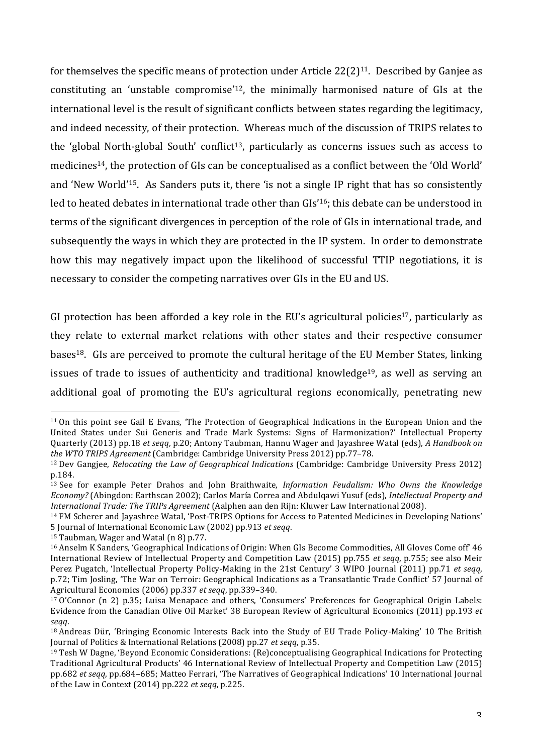for themselves the specific means of protection under Article  $22(2)^{11}$ . Described by Ganjee as constituting an 'unstable compromise'<sup>12</sup>, the minimally harmonised nature of GIs at the international level is the result of significant conflicts between states regarding the legitimacy, and indeed necessity, of their protection. Whereas much of the discussion of TRIPS relates to the 'global North-global South' conflict<sup>13</sup>, particularly as concerns issues such as access to medicines<sup>14</sup>, the protection of GIs can be conceptualised as a conflict between the 'Old World' and 'New World'<sup>15</sup>. As Sanders puts it, there 'is not a single IP right that has so consistently led to heated debates in international trade other than GIs'<sup>16</sup>; this debate can be understood in terms of the significant divergences in perception of the role of GIs in international trade, and subsequently the ways in which they are protected in the IP system. In order to demonstrate how this may negatively impact upon the likelihood of successful TTIP negotiations, it is necessary to consider the competing narratives over GIs in the EU and US.

GI protection has been afforded a key role in the EU's agricultural policies<sup>17</sup>, particularly as they relate to external market relations with other states and their respective consumer bases<sup>18</sup>. GIs are perceived to promote the cultural heritage of the EU Member States, linking issues of trade to issues of authenticity and traditional knowledge<sup>19</sup>, as well as serving an additional goal of promoting the EU's agricultural regions economically, penetrating new

 $11$  On this point see Gail E Evans, 'The Protection of Geographical Indications in the European Union and the United States under Sui Generis and Trade Mark Systems: Signs of Harmonization?' Intellectual Property Quarterly (2013) pp.18 *et seqq*, p.20; Antony Taubman, Hannu Wager and Jayashree Watal (eds), A Handbook on *the WTO TRIPS Agreement* (Cambridge: Cambridge University Press 2012) pp.77-78.

<sup>&</sup>lt;sup>12</sup> Dev Gangjee, *Relocating the Law of Geographical Indications* (Cambridge: Cambridge University Press 2012) p.184.

<sup>&</sup>lt;sup>13</sup> See for example Peter Drahos and John Braithwaite, *Information Feudalism:* Who Owns the Knowledge *Economy?* (Abingdon: Earthscan 2002): Carlos María Correa and Abdulqawi Yusuf (eds), *Intellectual Property and International Trade: The TRIPs Agreement* (Aalphen aan den Rijn: Kluwer Law International 2008).

<sup>&</sup>lt;sup>14</sup> FM Scherer and Jayashree Watal, 'Post-TRIPS Options for Access to Patented Medicines in Developing Nations' 5 Journal of International Economic Law (2002) pp.913 *et seqq*.

 $15$  Taubman, Wager and Watal (n 8) p.77.

<sup>&</sup>lt;sup>16</sup> Anselm K Sanders, 'Geographical Indications of Origin: When GIs Become Commodities, All Gloves Come off' 46 International Review of Intellectual Property and Competition Law (2015) pp.755 *et seqq*, p.755; see also Meir Perez Pugatch, 'Intellectual Property Policy-Making in the 21st Century' 3 WIPO Journal (2011) pp.71 *et seqq*, p.72; Tim Josling, 'The War on Terroir: Geographical Indications as a Transatlantic Trade Conflict' 57 Journal of Agricultural Economics (2006) pp.337 *et seqq*, pp.339-340.

 $17$  O'Connor (n 2) p.35; Luisa Menapace and others, 'Consumers' Preferences for Geographical Origin Labels: Evidence from the Canadian Olive Oil Market' 38 European Review of Agricultural Economics (2011) pp.193 *et seqq*.

<sup>&</sup>lt;sup>18</sup> Andreas Dür, 'Bringing Economic Interests Back into the Study of EU Trade Policy-Making' 10 The British Journal of Politics & International Relations (2008) pp.27 *et seqq*, p.35.

 $19$  Tesh W Dagne, 'Beyond Economic Considerations: (Re)conceptualising Geographical Indications for Protecting Traditional Agricultural Products' 46 International Review of Intellectual Property and Competition Law (2015) pp.682 *et seqq*, pp.684–685; Matteo Ferrari, 'The Narratives of Geographical Indications' 10 International Journal of the Law in Context (2014) pp.222 *et seqq*, p.225.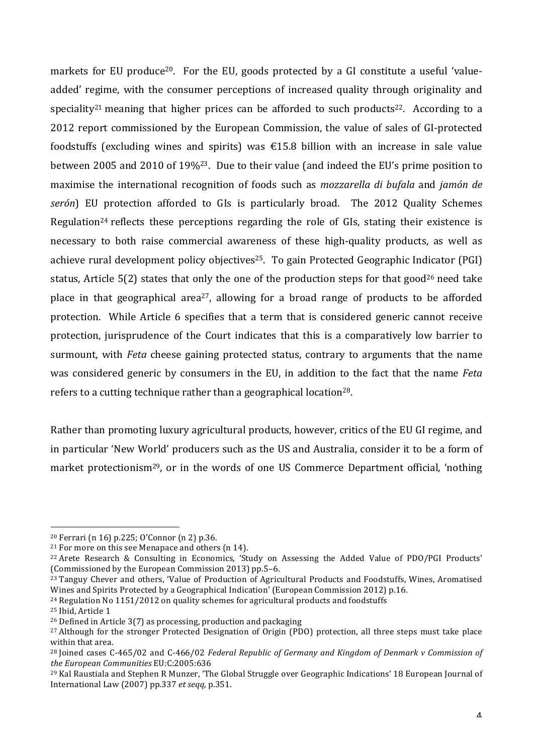markets for EU produce<sup>20</sup>. For the EU, goods protected by a GI constitute a useful 'valueadded' regime, with the consumer perceptions of increased quality through originality and speciality<sup>21</sup> meaning that higher prices can be afforded to such products<sup>22</sup>. According to a 2012 report commissioned by the European Commission, the value of sales of GI-protected foodstuffs (excluding wines and spirits) was  $\epsilon$ 15.8 billion with an increase in sale value between 2005 and 2010 of 19%<sup>23</sup>. Due to their value (and indeed the EU's prime position to maximise the international recognition of foods such as *mozzarella di bufala* and *jamón de serón*) EU protection afforded to GIs is particularly broad. The 2012 Quality Schemes Regulation<sup>24</sup> reflects these perceptions regarding the role of GIs, stating their existence is necessary to both raise commercial awareness of these high-quality products, as well as achieve rural development policy objectives<sup>25</sup>. To gain Protected Geographic Indicator (PGI) status, Article  $5(2)$  states that only the one of the production steps for that good<sup>26</sup> need take place in that geographical area<sup>27</sup>, allowing for a broad range of products to be afforded protection. While Article 6 specifies that a term that is considered generic cannot receive protection, jurisprudence of the Court indicates that this is a comparatively low barrier to surmount, with *Feta* cheese gaining protected status, contrary to arguments that the name was considered generic by consumers in the EU, in addition to the fact that the name *Feta* refers to a cutting technique rather than a geographical location<sup>28</sup>.

Rather than promoting luxury agricultural products, however, critics of the EU GI regime, and in particular 'New World' producers such as the US and Australia, consider it to be a form of market protectionism<sup>29</sup>, or in the words of one US Commerce Department official, 'nothing

 $20$  Ferrari (n 16) p.225; O'Connor (n 2) p.36.

 $21$  For more on this see Menapace and others (n 14).

<sup>&</sup>lt;sup>22</sup> Arete Research & Consulting in Economics, 'Study on Assessing the Added Value of PDO/PGI Products' (Commissioned by the European Commission 2013) pp.5–6.

<sup>&</sup>lt;sup>23</sup> Tanguy Chever and others, 'Value of Production of Agricultural Products and Foodstuffs, Wines, Aromatised Wines and Spirits Protected by a Geographical Indication' (European Commission 2012) p.16.

 $24$  Regulation No 1151/2012 on quality schemes for agricultural products and foodstuffs

<sup>&</sup>lt;sup>25</sup> Ibid, Article 1

 $26$  Defined in Article 3(7) as processing, production and packaging

<sup>&</sup>lt;sup>27</sup> Although for the stronger Protected Designation of Origin (PDO) protection, all three steps must take place within that area.

<sup>&</sup>lt;sup>28</sup> Joined cases C-465/02 and C-466/02 *Federal Republic of Germany and Kingdom of Denmark v Commission of the European Communities* EU:C:2005:636

<sup>&</sup>lt;sup>29</sup> Kal Raustiala and Stephen R Munzer, 'The Global Struggle over Geographic Indications' 18 European Journal of International Law (2007) pp.337 *et seqq*, p.351.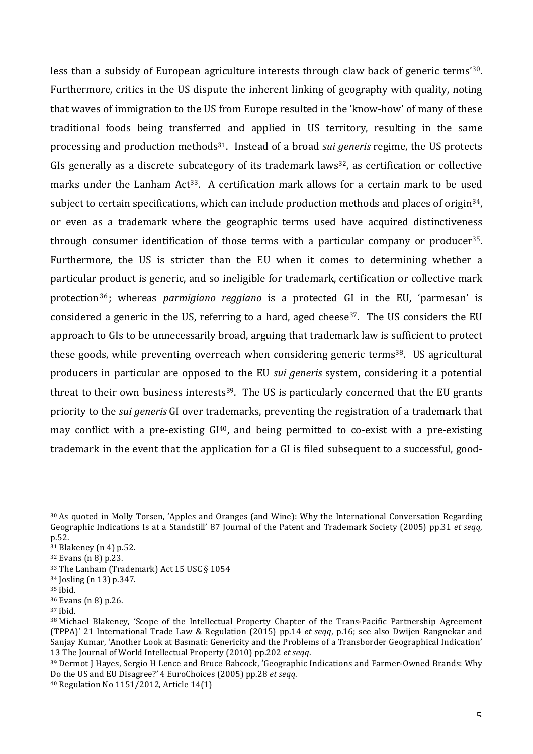less than a subsidy of European agriculture interests through claw back of generic terms<sup>'30</sup>. Furthermore, critics in the US dispute the inherent linking of geography with quality, noting that waves of immigration to the US from Europe resulted in the 'know-how' of many of these traditional foods being transferred and applied in US territory, resulting in the same processing and production methods<sup>31</sup>. Instead of a broad *sui generis* regime, the US protects GIs generally as a discrete subcategory of its trademark laws<sup>32</sup>, as certification or collective marks under the Lanham Act<sup>33</sup>. A certification mark allows for a certain mark to be used subject to certain specifications, which can include production methods and places of origin<sup>34</sup>, or even as a trademark where the geographic terms used have acquired distinctiveness through consumer identification of those terms with a particular company or producer<sup>35</sup>. Furthermore, the US is stricter than the EU when it comes to determining whether a particular product is generic, and so ineligible for trademark, certification or collective mark protection<sup>36</sup>; whereas *parmigiano reggiano* is a protected GI in the EU, 'parmesan' is considered a generic in the US, referring to a hard, aged cheese<sup>37</sup>. The US considers the EU approach to GIs to be unnecessarily broad, arguing that trademark law is sufficient to protect these goods, while preventing overreach when considering generic terms<sup>38</sup>. US agricultural producers in particular are opposed to the EU *sui generis* system, considering it a potential threat to their own business interests<sup>39</sup>. The US is particularly concerned that the EU grants priority to the *sui generis* GI over trademarks, preventing the registration of a trademark that may conflict with a pre-existing  $GI^{40}$ , and being permitted to co-exist with a pre-existing trademark in the event that the application for a GI is filed subsequent to a successful, good-

<sup>30</sup> As quoted in Molly Torsen, 'Apples and Oranges (and Wine): Why the International Conversation Regarding Geographic Indications Is at a Standstill' 87 Iournal of the Patent and Trademark Society (2005) pp.31 *et seqq*, p.52.

 $31$  Blakeney (n 4) p.52.

 $32$  Evans (n 8) p.23.

<sup>&</sup>lt;sup>33</sup> The Lanham (Trademark) Act 15 USC § 1054

<sup>&</sup>lt;sup>34</sup> Josling (n 13) p.347.

<sup>35</sup> ibid.

 $36$  Evans (n 8) p.26.

<sup>37</sup> ibid.

<sup>38</sup> Michael Blakeney, 'Scope of the Intellectual Property Chapter of the Trans-Pacific Partnership Agreement (TPPA)' 21 International Trade Law & Regulation (2015) pp.14 *et seqq*, p.16; see also Dwijen Rangnekar and Sanjay Kumar, 'Another Look at Basmati: Genericity and the Problems of a Transborder Geographical Indication' 13 The Journal of World Intellectual Property (2010) pp.202 *et seqq.* 

<sup>39</sup> Dermot I Hayes, Sergio H Lence and Bruce Babcock, 'Geographic Indications and Farmer-Owned Brands: Why Do the US and EU Disagree?' 4 EuroChoices (2005) pp.28 *et seqq.* 

 $40$  Regulation No 1151/2012, Article 14(1)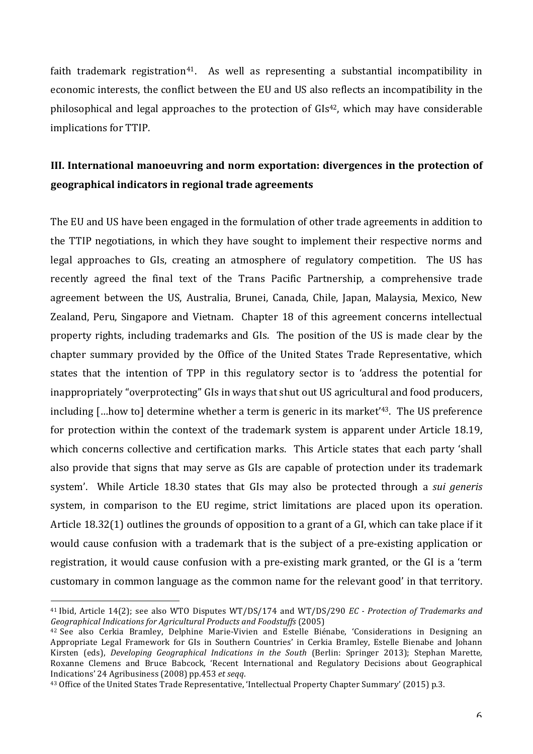faith trademark registration<sup>41</sup>. As well as representing a substantial incompatibility in economic interests, the conflict between the EU and US also reflects an incompatibility in the philosophical and legal approaches to the protection of  $GIs<sup>42</sup>$ , which may have considerable implications for TTIP.

# **III.** International manoeuvring and norm exportation: divergences in the protection of **geographical indicators in regional trade agreements**

The EU and US have been engaged in the formulation of other trade agreements in addition to the TTIP negotiations, in which they have sought to implement their respective norms and legal approaches to GIs, creating an atmosphere of regulatory competition. The US has recently agreed the final text of the Trans Pacific Partnership, a comprehensive trade agreement between the US, Australia, Brunei, Canada, Chile, Japan, Malaysia, Mexico, New Zealand, Peru, Singapore and Vietnam. Chapter 18 of this agreement concerns intellectual property rights, including trademarks and GIs. The position of the US is made clear by the chapter summary provided by the Office of the United States Trade Representative, which states that the intention of TPP in this regulatory sector is to 'address the potential for inappropriately "overprotecting" GIs in ways that shut out US agricultural and food producers, including  $\lceil$ ...how to determine whether a term is generic in its market<sup>'43</sup>. The US preference for protection within the context of the trademark system is apparent under Article 18.19, which concerns collective and certification marks. This Article states that each party 'shall also provide that signs that may serve as GIs are capable of protection under its trademark system'. While Article 18.30 states that GIs may also be protected through a *sui generis* system, in comparison to the EU regime, strict limitations are placed upon its operation. Article  $18.32(1)$  outlines the grounds of opposition to a grant of a GI, which can take place if it would cause confusion with a trademark that is the subject of a pre-existing application or registration, it would cause confusion with a pre-existing mark granted, or the GI is a 'term customary in common language as the common name for the relevant good' in that territory.

<sup>&</sup>lt;sup>41</sup> Ibid, Article 14(2); see also WTO Disputes WT/DS/174 and WT/DS/290 *EC* - *Protection of Trademarks and Geographical Indications for Agricultural Products and Foodstuffs* (2005)

<sup>&</sup>lt;sup>42</sup> See also Cerkia Bramley, Delphine Marie-Vivien and Estelle Biénabe, 'Considerations in Designing an Appropriate Legal Framework for GIs in Southern Countries' in Cerkia Bramley, Estelle Bienabe and Johann Kirsten (eds), *Developing Geographical Indications in the South* (Berlin: Springer 2013); Stephan Marette, Roxanne Clemens and Bruce Babcock, 'Recent International and Regulatory Decisions about Geographical Indications' 24 Agribusiness (2008) pp.453 *et seqq*.

<sup>&</sup>lt;sup>43</sup> Office of the United States Trade Representative, 'Intellectual Property Chapter Summary' (2015) p.3.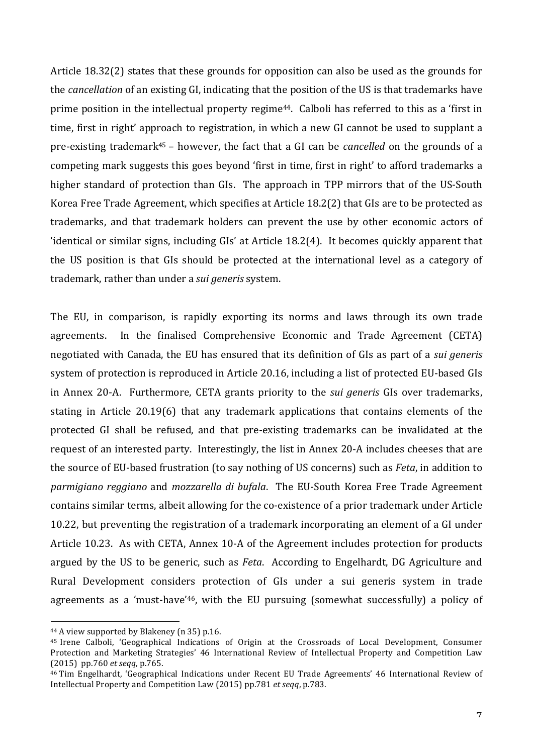Article  $18.32(2)$  states that these grounds for opposition can also be used as the grounds for the *cancellation* of an existing GI, indicating that the position of the US is that trademarks have prime position in the intellectual property regime<sup>44</sup>. Calboli has referred to this as a 'first in time, first in right' approach to registration, in which a new GI cannot be used to supplant a pre-existing trademark<sup>45</sup> – however, the fact that a GI can be *cancelled* on the grounds of a competing mark suggests this goes beyond 'first in time, first in right' to afford trademarks a higher standard of protection than GIs. The approach in TPP mirrors that of the US-South Korea Free Trade Agreement, which specifies at Article 18.2(2) that GIs are to be protected as trademarks, and that trademark holders can prevent the use by other economic actors of 'identical or similar signs, including GIs' at Article 18.2(4). It becomes quickly apparent that the US position is that GIs should be protected at the international level as a category of trademark, rather than under a *sui generis* system.

The EU, in comparison, is rapidly exporting its norms and laws through its own trade agreements. In the finalised Comprehensive Economic and Trade Agreement (CETA) negotiated with Canada, the EU has ensured that its definition of GIs as part of a *sui generis* system of protection is reproduced in Article 20.16, including a list of protected EU-based GIs in Annex 20-A. Furthermore, CETA grants priority to the *sui generis* GIs over trademarks, stating in Article 20.19(6) that any trademark applications that contains elements of the protected GI shall be refused, and that pre-existing trademarks can be invalidated at the request of an interested party. Interestingly, the list in Annex 20-A includes cheeses that are the source of EU-based frustration (to say nothing of US concerns) such as *Feta*, in addition to *parmigiano reggiano* and *mozzarella di bufala*. The EU-South Korea Free Trade Agreement contains similar terms, albeit allowing for the co-existence of a prior trademark under Article 10.22, but preventing the registration of a trademark incorporating an element of a GI under Article 10.23. As with CETA, Annex 10-A of the Agreement includes protection for products argued by the US to be generic, such as *Feta*. According to Engelhardt, DG Agriculture and Rural Development considers protection of GIs under a sui generis system in trade agreements as a 'must-have'<sup>46</sup>, with the EU pursuing (somewhat successfully) a policy of

<sup>&</sup>lt;sup>44</sup> A view supported by Blakeney (n 35) p.16.

<sup>&</sup>lt;sup>45</sup> Irene Calboli, 'Geographical Indications of Origin at the Crossroads of Local Development, Consumer Protection and Marketing Strategies' 46 International Review of Intellectual Property and Competition Law (2015) pp.760 *et seqq*, p.765.

<sup>&</sup>lt;sup>46</sup> Tim Engelhardt, 'Geographical Indications under Recent EU Trade Agreements' 46 International Review of Intellectual Property and Competition Law (2015) pp.781 *et seqq*, p.783.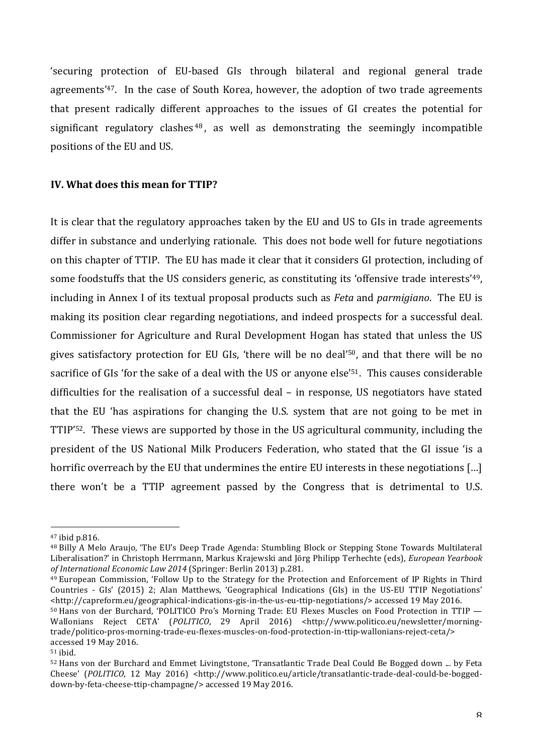'securing protection of EU-based GIs through bilateral and regional general trade agreements'<sup>47</sup>. In the case of South Korea, however, the adoption of two trade agreements that present radically different approaches to the issues of GI creates the potential for significant regulatory clashes  $48$ , as well as demonstrating the seemingly incompatible positions of the EU and US.

# **IV.** What does this mean for TTIP?

It is clear that the regulatory approaches taken by the EU and US to GIs in trade agreements differ in substance and underlying rationale. This does not bode well for future negotiations on this chapter of TTIP. The EU has made it clear that it considers GI protection, including of some foodstuffs that the US considers generic, as constituting its 'offensive trade interests'<sup>49</sup>, including in Annex I of its textual proposal products such as *Feta* and *parmigiano*. The EU is making its position clear regarding negotiations, and indeed prospects for a successful deal. Commissioner for Agriculture and Rural Development Hogan has stated that unless the US gives satisfactory protection for EU GIs, 'there will be no deal'<sup>50</sup>, and that there will be no sacrifice of GIs 'for the sake of a deal with the US or anyone else'<sup>51</sup>. This causes considerable difficulties for the realisation of a successful deal – in response, US negotiators have stated that the EU 'has aspirations for changing the U.S. system that are not going to be met in TTIP'<sup>52</sup>. These views are supported by those in the US agricultural community, including the president of the US National Milk Producers Federation, who stated that the GI issue 'is a horrific overreach by the EU that undermines the entire EU interests in these negotiations  $[\ldots]$ there won't be a TTIP agreement passed by the Congress that is detrimental to U.S.

 

 $49$  European Commission, 'Follow Up to the Strategy for the Protection and Enforcement of IP Rights in Third Countries - GIs' (2015) 2; Alan Matthews, 'Geographical Indications (GIs) in the US-EU TTIP Negotiations' <http://capreform.eu/geographical-indications-gis-in-the-us-eu-ttip-negotiations/> accessed 19 May 2016.

<sup>47</sup> ibid p.816.

<sup>&</sup>lt;sup>48</sup> Billy A Melo Araujo, 'The EU's Deep Trade Agenda: Stumbling Block or Stepping Stone Towards Multilateral Liberalisation?' in Christoph Herrmann, Markus Krajewski and Jörg Philipp Terhechte (eds), *European Yearbook of International Economic Law 2014* (Springer: Berlin 2013) p.281.

<sup>50</sup> Hans von der Burchard, 'POLITICO Pro's Morning Trade: EU Flexes Muscles on Food Protection in TTIP -Wallonians Reject CETA' (*POLITICO*, 29 April 2016) <http://www.politico.eu/newsletter/morningtrade/politico-pros-morning-trade-eu-flexes-muscles-on-food-protection-in-ttip-wallonians-reject-ceta/> accessed 19 May 2016.

<sup>51</sup> ibid.

<sup>52</sup> Hans von der Burchard and Emmet Livingtstone, 'Transatlantic Trade Deal Could Be Bogged down ... by Feta Cheese' (*POLITICO*, 12 May 2016) <http://www.politico.eu/article/transatlantic-trade-deal-could-be-boggeddown-by-feta-cheese-ttip-champagne/> accessed 19 May 2016.